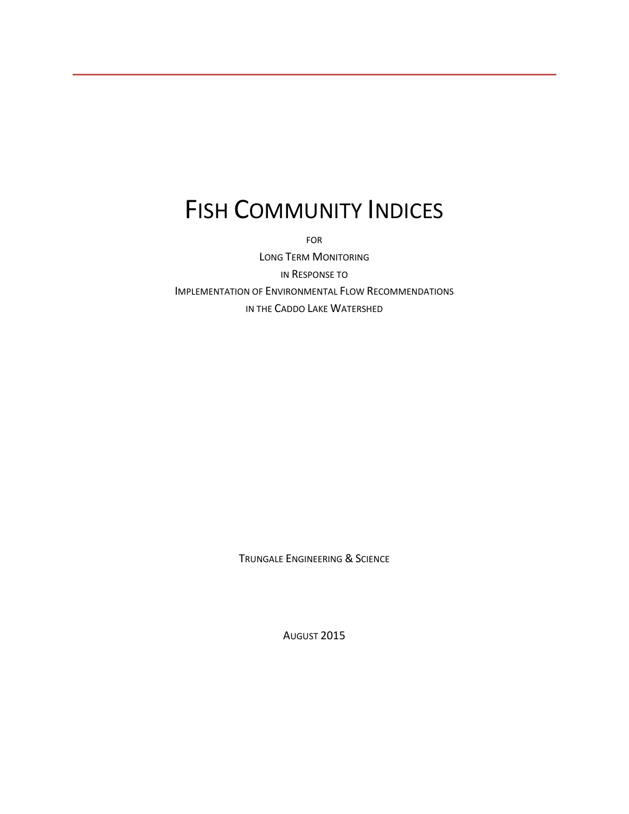# FISH COMMUNITY INDICES

FOR

LONG TERM MONITORING IN RESPONSE TO IMPLEMENTATION OF ENVIRONMENTAL FLOW RECOMMENDATIONS IN THE CADDO LAKE WATERSHED

TRUNGALE ENGINEERING & SCIENCE

AUGUST 2015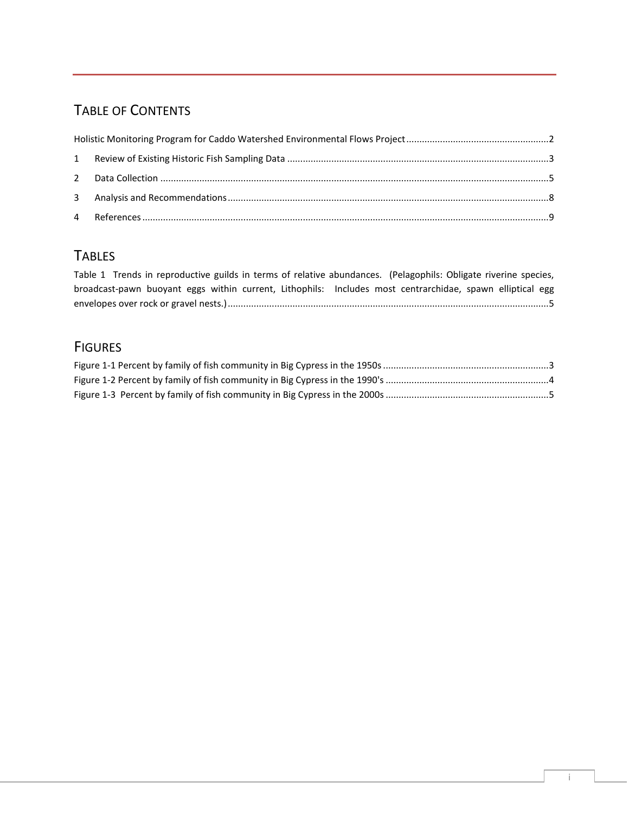# TABLE OF CONTENTS

## **TABLES**

[Table 1 Trends in reproductive guilds in terms of relative abundances. \(Pelagophils: Obligate riverine species,](#page-5-1)  [broadcast-pawn buoyant eggs within current, Lithophils: Includes most centrarchidae, spawn elliptical egg](#page-5-1)  [envelopes over rock or gravel nests.\)............................................................................................................................5](#page-5-1)

## **FIGURES**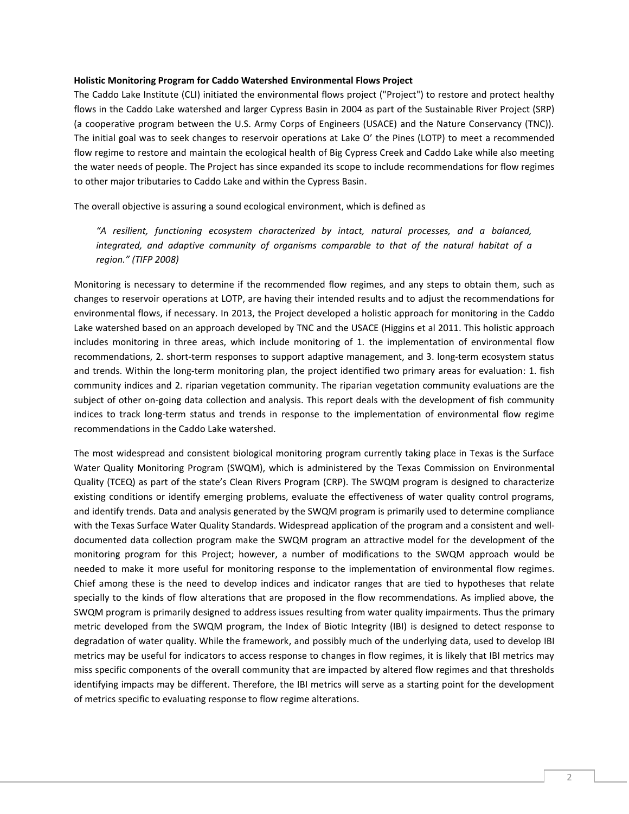#### <span id="page-2-0"></span>**Holistic Monitoring Program for Caddo Watershed Environmental Flows Project**

The Caddo Lake Institute (CLI) initiated the environmental flows project ("Project") to restore and protect healthy flows in the Caddo Lake watershed and larger Cypress Basin in 2004 as part of the Sustainable River Project (SRP) (a cooperative program between the U.S. Army Corps of Engineers (USACE) and the Nature Conservancy (TNC)). The initial goal was to seek changes to reservoir operations at Lake O' the Pines (LOTP) to meet a recommended flow regime to restore and maintain the ecological health of Big Cypress Creek and Caddo Lake while also meeting the water needs of people. The Project has since expanded its scope to include recommendations for flow regimes to other major tributaries to Caddo Lake and within the Cypress Basin.

The overall objective is assuring a sound ecological environment, which is defined as

*"A resilient, functioning ecosystem characterized by intact, natural processes, and a balanced, integrated, and adaptive community of organisms comparable to that of the natural habitat of a region." (TIFP 2008)*

Monitoring is necessary to determine if the recommended flow regimes, and any steps to obtain them, such as changes to reservoir operations at LOTP, are having their intended results and to adjust the recommendations for environmental flows, if necessary. In 2013, the Project developed a holistic approach for monitoring in the Caddo Lake watershed based on an approach developed by TNC and the USACE (Higgins et al 2011. This holistic approach includes monitoring in three areas, which include monitoring of 1. the implementation of environmental flow recommendations, 2. short-term responses to support adaptive management, and 3. long-term ecosystem status and trends. Within the long-term monitoring plan, the project identified two primary areas for evaluation: 1. fish community indices and 2. riparian vegetation community. The riparian vegetation community evaluations are the subject of other on-going data collection and analysis. This report deals with the development of fish community indices to track long-term status and trends in response to the implementation of environmental flow regime recommendations in the Caddo Lake watershed.

The most widespread and consistent biological monitoring program currently taking place in Texas is the Surface Water Quality Monitoring Program (SWQM), which is administered by the Texas Commission on Environmental Quality (TCEQ) as part of the state's Clean Rivers Program (CRP). The SWQM program is designed to characterize existing conditions or identify emerging problems, evaluate the effectiveness of water quality control programs, and identify trends. Data and analysis generated by the SWQM program is primarily used to determine compliance with the Texas Surface Water Quality Standards. Widespread application of the program and a consistent and welldocumented data collection program make the SWQM program an attractive model for the development of the monitoring program for this Project; however, a number of modifications to the SWQM approach would be needed to make it more useful for monitoring response to the implementation of environmental flow regimes. Chief among these is the need to develop indices and indicator ranges that are tied to hypotheses that relate specially to the kinds of flow alterations that are proposed in the flow recommendations. As implied above, the SWQM program is primarily designed to address issues resulting from water quality impairments. Thus the primary metric developed from the SWQM program, the Index of Biotic Integrity (IBI) is designed to detect response to degradation of water quality. While the framework, and possibly much of the underlying data, used to develop IBI metrics may be useful for indicators to access response to changes in flow regimes, it is likely that IBI metrics may miss specific components of the overall community that are impacted by altered flow regimes and that thresholds identifying impacts may be different. Therefore, the IBI metrics will serve as a starting point for the development of metrics specific to evaluating response to flow regime alterations.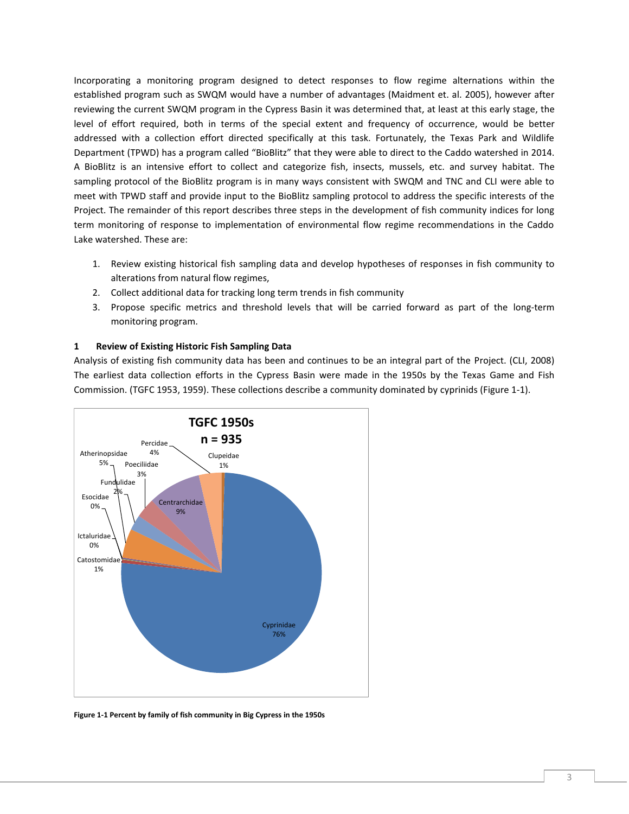Incorporating a monitoring program designed to detect responses to flow regime alternations within the established program such as SWQM would have a number of advantages (Maidment et. al. 2005), however after reviewing the current SWQM program in the Cypress Basin it was determined that, at least at this early stage, the level of effort required, both in terms of the special extent and frequency of occurrence, would be better addressed with a collection effort directed specifically at this task. Fortunately, the Texas Park and Wildlife Department (TPWD) has a program called "BioBlitz" that they were able to direct to the Caddo watershed in 2014. A BioBlitz is an intensive effort to collect and categorize fish, insects, mussels, etc. and survey habitat. The sampling protocol of the BioBlitz program is in many ways consistent with SWQM and TNC and CLI were able to meet with TPWD staff and provide input to the BioBlitz sampling protocol to address the specific interests of the Project. The remainder of this report describes three steps in the development of fish community indices for long term monitoring of response to implementation of environmental flow regime recommendations in the Caddo Lake watershed. These are:

- 1. Review existing historical fish sampling data and develop hypotheses of responses in fish community to alterations from natural flow regimes,
- 2. Collect additional data for tracking long term trends in fish community
- 3. Propose specific metrics and threshold levels that will be carried forward as part of the long-term monitoring program.

## <span id="page-3-0"></span>**1 Review of Existing Historic Fish Sampling Data**

Analysis of existing fish community data has been and continues to be an integral part of the Project. (CLI, 2008) The earliest data collection efforts in the Cypress Basin were made in the 1950s by the Texas Game and Fish Commission. (TGFC 1953, 1959). These collections describe a community dominated by cyprinids [\(Figure 1-1\)](#page-3-1).



<span id="page-3-1"></span>**Figure 1-1 Percent by family of fish community in Big Cypress in the 1950s**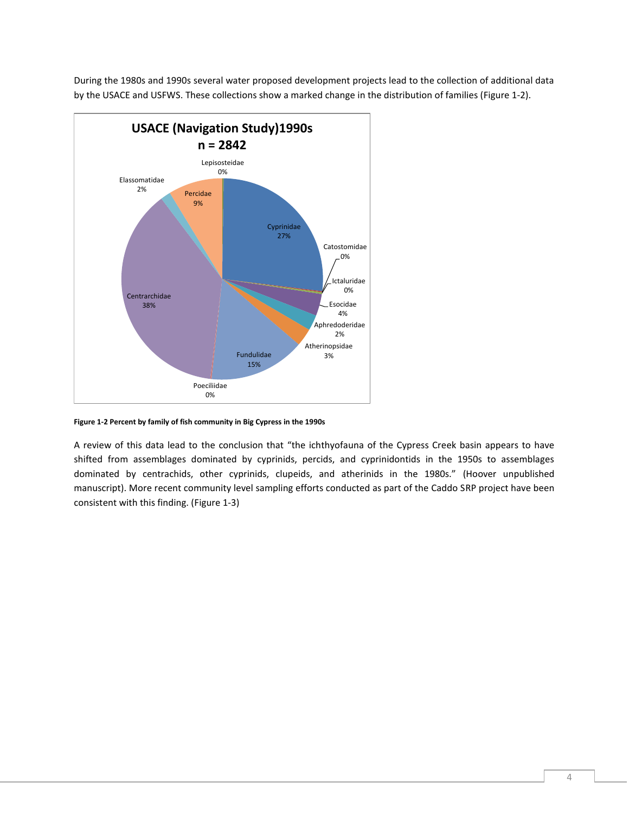

During the 1980s and 1990s several water proposed development projects lead to the collection of additional data by the USACE and USFWS. These collections show a marked change in the distribution of families [\(Figure 1-2\)](#page-4-0).

<span id="page-4-0"></span>**Figure 1-2 Percent by family of fish community in Big Cypress in the 1990s**

A review of this data lead to the conclusion that "the ichthyofauna of the Cypress Creek basin appears to have shifted from assemblages dominated by cyprinids, percids, and cyprinidontids in the 1950s to assemblages dominated by centrachids, other cyprinids, clupeids, and atherinids in the 1980s." (Hoover unpublished manuscript). More recent community level sampling efforts conducted as part of the Caddo SRP project have been consistent with this finding. [\(Figure 1-3\)](#page-5-2)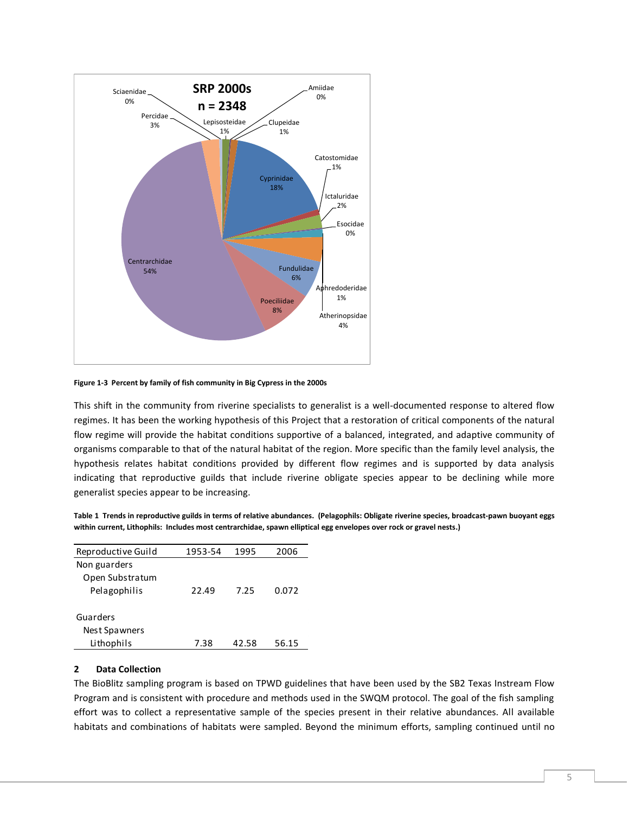

<span id="page-5-2"></span>**Figure 1-3 Percent by family of fish community in Big Cypress in the 2000s**

This shift in the community from riverine specialists to generalist is a well-documented response to altered flow regimes. It has been the working hypothesis of this Project that a restoration of critical components of the natural flow regime will provide the habitat conditions supportive of a balanced, integrated, and adaptive community of organisms comparable to that of the natural habitat of the region. More specific than the family level analysis, the hypothesis relates habitat conditions provided by different flow regimes and is supported by data analysis indicating that reproductive guilds that include riverine obligate species appear to be declining while more generalist species appear to be increasing.

<span id="page-5-1"></span>

|                                                                                                                     | Table 1 Trends in reproductive guilds in terms of relative abundances. (Pelagophils: Obligate riverine species, broadcast-pawn buoyant eggs |
|---------------------------------------------------------------------------------------------------------------------|---------------------------------------------------------------------------------------------------------------------------------------------|
| within current, Lithophils: Includes most centrarchidae, spawn elliptical egg envelopes over rock or gravel nests.) |                                                                                                                                             |

| Reproductive Guild | 1953-54 | 1995  | 2006  |  |
|--------------------|---------|-------|-------|--|
| Non guarders       |         |       |       |  |
| Open Substratum    |         |       |       |  |
| Pelagophilis       | 22.49   | 7.25  | 0.072 |  |
|                    |         |       |       |  |
| Guarders           |         |       |       |  |
| Nest Spawners      |         |       |       |  |
| Lithophils         | 7.38    | 42.58 | 56.15 |  |

#### <span id="page-5-0"></span>**2 Data Collection**

The BioBlitz sampling program is based on TPWD guidelines that have been used by the SB2 Texas Instream Flow Program and is consistent with procedure and methods used in the SWQM protocol. The goal of the fish sampling effort was to collect a representative sample of the species present in their relative abundances. All available habitats and combinations of habitats were sampled. Beyond the minimum efforts, sampling continued until no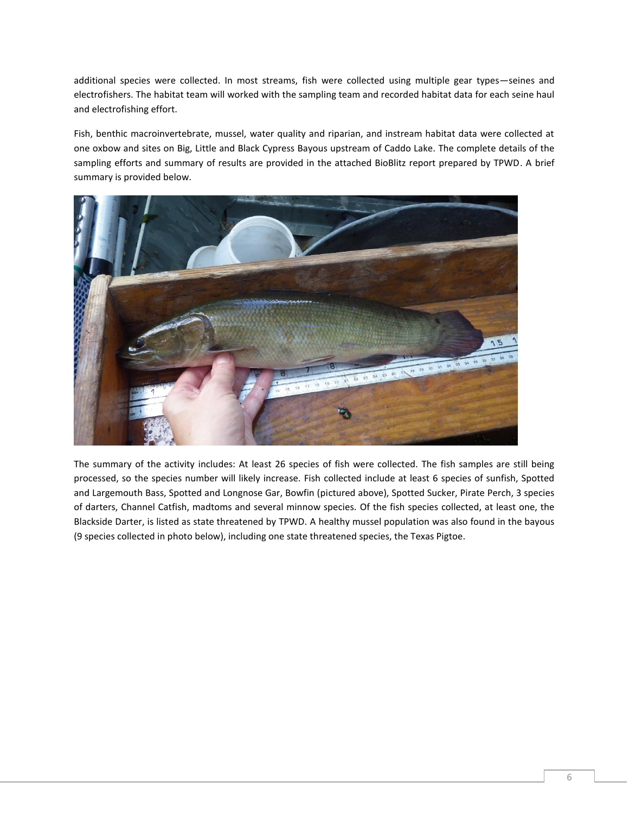additional species were collected. In most streams, fish were collected using multiple gear types—seines and electrofishers. The habitat team will worked with the sampling team and recorded habitat data for each seine haul and electrofishing effort.

Fish, benthic macroinvertebrate, mussel, water quality and riparian, and instream habitat data were collected at one oxbow and sites on Big, Little and Black Cypress Bayous upstream of Caddo Lake. The complete details of the sampling efforts and summary of results are provided in the attached BioBlitz report prepared by TPWD. A brief summary is provided below.



The summary of the activity includes: At least 26 species of fish were collected. The fish samples are still being processed, so the species number will likely increase. Fish collected include at least 6 species of sunfish, Spotted and Largemouth Bass, Spotted and Longnose Gar, Bowfin (pictured above), Spotted Sucker, Pirate Perch, 3 species of darters, Channel Catfish, madtoms and several minnow species. Of the fish species collected, at least one, the Blackside Darter, is listed as state threatened by TPWD. A healthy mussel population was also found in the bayous (9 species collected in photo below), including one state threatened species, the Texas Pigtoe.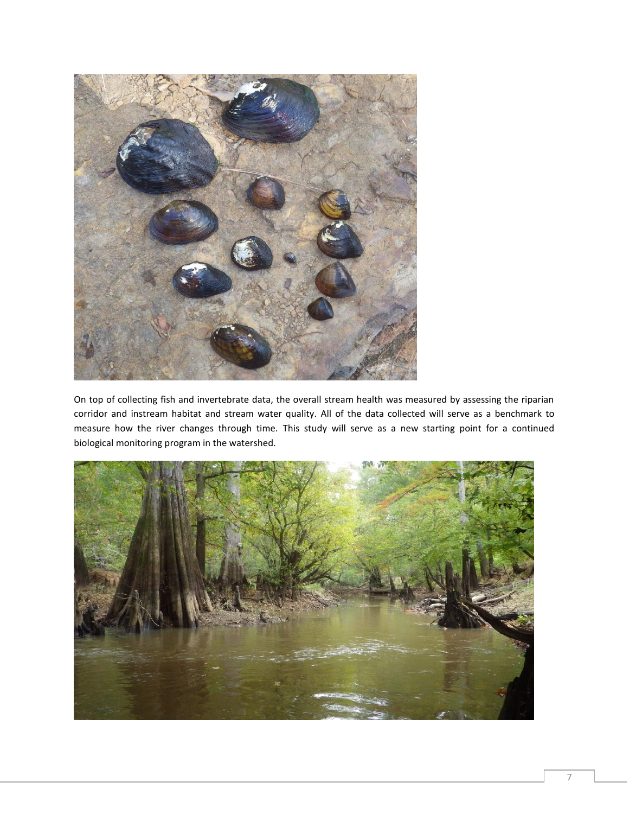

On top of collecting fish and invertebrate data, the overall stream health was measured by assessing the riparian corridor and instream habitat and stream water quality. All of the data collected will serve as a benchmark to measure how the river changes through time. This study will serve as a new starting point for a continued biological monitoring program in the watershed.

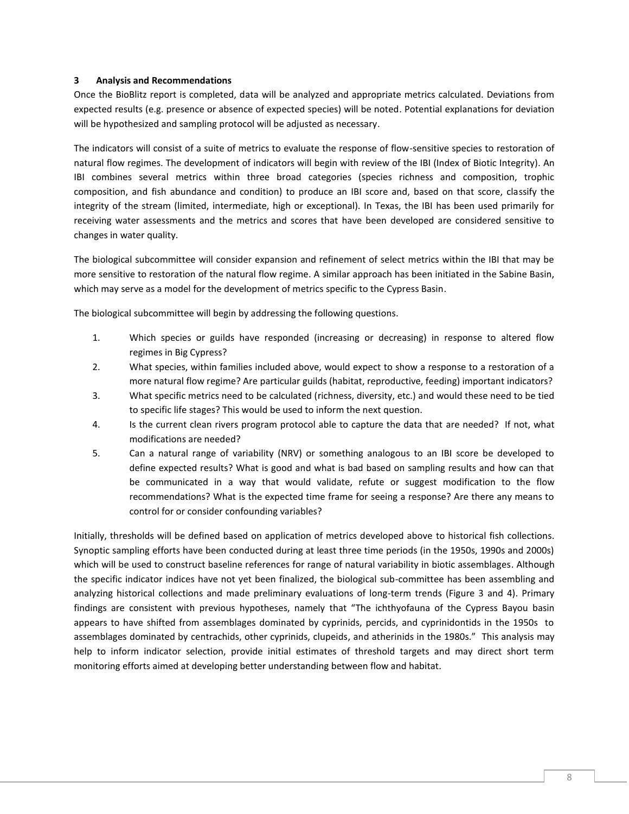### <span id="page-8-0"></span>**3 Analysis and Recommendations**

Once the BioBlitz report is completed, data will be analyzed and appropriate metrics calculated. Deviations from expected results (e.g. presence or absence of expected species) will be noted. Potential explanations for deviation will be hypothesized and sampling protocol will be adjusted as necessary.

The indicators will consist of a suite of metrics to evaluate the response of flow-sensitive species to restoration of natural flow regimes. The development of indicators will begin with review of the IBI (Index of Biotic Integrity). An IBI combines several metrics within three broad categories (species richness and composition, trophic composition, and fish abundance and condition) to produce an IBI score and, based on that score, classify the integrity of the stream (limited, intermediate, high or exceptional). In Texas, the IBI has been used primarily for receiving water assessments and the metrics and scores that have been developed are considered sensitive to changes in water quality.

The biological subcommittee will consider expansion and refinement of select metrics within the IBI that may be more sensitive to restoration of the natural flow regime. A similar approach has been initiated in the Sabine Basin, which may serve as a model for the development of metrics specific to the Cypress Basin.

The biological subcommittee will begin by addressing the following questions.

- 1. Which species or guilds have responded (increasing or decreasing) in response to altered flow regimes in Big Cypress?
- 2. What species, within families included above, would expect to show a response to a restoration of a more natural flow regime? Are particular guilds (habitat, reproductive, feeding) important indicators?
- 3. What specific metrics need to be calculated (richness, diversity, etc.) and would these need to be tied to specific life stages? This would be used to inform the next question.
- 4. Is the current clean rivers program protocol able to capture the data that are needed? If not, what modifications are needed?
- 5. Can a natural range of variability (NRV) or something analogous to an IBI score be developed to define expected results? What is good and what is bad based on sampling results and how can that be communicated in a way that would validate, refute or suggest modification to the flow recommendations? What is the expected time frame for seeing a response? Are there any means to control for or consider confounding variables?

Initially, thresholds will be defined based on application of metrics developed above to historical fish collections. Synoptic sampling efforts have been conducted during at least three time periods (in the 1950s, 1990s and 2000s) which will be used to construct baseline references for range of natural variability in biotic assemblages. Although the specific indicator indices have not yet been finalized, the biological sub-committee has been assembling and analyzing historical collections and made preliminary evaluations of long-term trends (Figure 3 and 4). Primary findings are consistent with previous hypotheses, namely that "The ichthyofauna of the Cypress Bayou basin appears to have shifted from assemblages dominated by cyprinids, percids, and cyprinidontids in the 1950s to assemblages dominated by centrachids, other cyprinids, clupeids, and atherinids in the 1980s." This analysis may help to inform indicator selection, provide initial estimates of threshold targets and may direct short term monitoring efforts aimed at developing better understanding between flow and habitat.